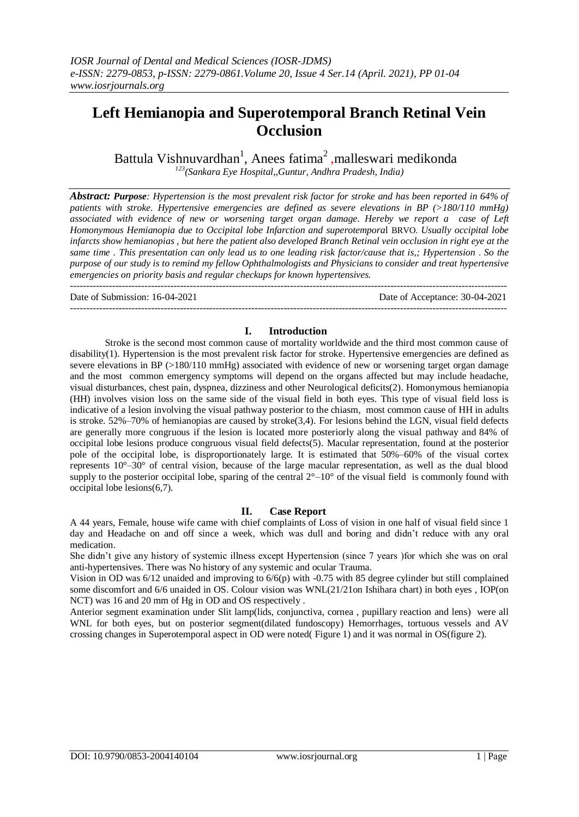# **Left Hemianopia and Superotemporal Branch Retinal Vein Occlusion**

Battula Vishnuvardhan<sup>1</sup>, Anees fatima<sup>2</sup>, malleswari medikonda *<sup>123</sup>(Sankara Eye Hospital,,Guntur, Andhra Pradesh, India)* 

*Abstract: Purpose: Hypertension is the most prevalent risk factor for stroke and has been reported in 64% of patients with stroke. Hypertensive emergencies are defined as severe elevations in BP (>180/110 mmHg) associated with evidence of new or worsening target organ damage. Hereby we report a case of Left Homonymous Hemianopia due to Occipital lobe Infarction and superotempora*l BRVO. *Usually occipital lobe infarcts show hemianopias , but here the patient also developed Branch Retinal vein occlusion in right eye at the same time . This presentation can only lead us to one leading risk factor/cause that is,; Hypertension* . *So the purpose of our study is to remind my fellow Ophthalmologists and Physicians to consider and treat hypertensive emergencies on priority basis and regular checkups for known hypertensives.*

--------------------------------------------------------------------------------------------------------------------------------------- Date of Submission: 16-04-2021 Date of Acceptance: 30-04-2021

# **I. Introduction**

---------------------------------------------------------------------------------------------------------------------------------------

Stroke is the second most common cause of mortality worldwide and the third most common cause of disability(1). Hypertension is the most prevalent risk factor for stroke. Hypertensive emergencies are defined as severe elevations in BP (>180/110 mmHg) associated with evidence of new or worsening target organ damage and the most common emergency symptoms will depend on the organs affected but may include headache, visual disturbances, chest pain, dyspnea, dizziness and other Neurological deficits(2). Homonymous hemianopia (HH) involves vision loss on the same side of the visual field in both eyes. This type of visual field loss is indicative of a lesion involving the visual pathway posterior to the chiasm, most common cause of HH in adults is stroke. 52%–70% of hemianopias are caused by stroke(3,4). For lesions behind the LGN, visual field defects are generally more congruous if the lesion is located more posteriorly along the visual pathway and 84% of occipital lobe lesions produce congruous visual field defects(5). Macular representation, found at the posterior pole of the occipital lobe, is disproportionately large. It is estimated that 50%–60% of the visual cortex represents 10°–30° of central vision, because of the large macular representation, as well as the dual blood supply to the posterior occipital lobe, sparing of the central  $2^{\circ} - 10^{\circ}$  of the visual field is commonly found with occipital lobe lesions(6,7).

## **II. Case Report**

A 44 years, Female, house wife came with chief complaints of Loss of vision in one half of visual field since 1 day and Headache on and off since a week, which was dull and boring and didn't reduce with any oral medication.

She didn't give any history of systemic illness except Hypertension (since 7 years )for which she was on oral anti-hypertensives. There was No history of any systemic and ocular Trauma.

Vision in OD was 6/12 unaided and improving to 6/6(p) with -0.75 with 85 degree cylinder but still complained some discomfort and 6/6 unaided in OS. Colour vision was WNL(21/21on Ishihara chart) in both eyes , IOP(on NCT) was 16 and 20 mm of Hg in OD and OS respectively .

Anterior segment examination under Slit lamp(lids, conjunctiva, cornea , pupillary reaction and lens) were all WNL for both eyes, but on posterior segment(dilated fundoscopy) Hemorrhages, tortuous vessels and AV crossing changes in Superotemporal aspect in OD were noted( Figure 1) and it was normal in OS(figure 2).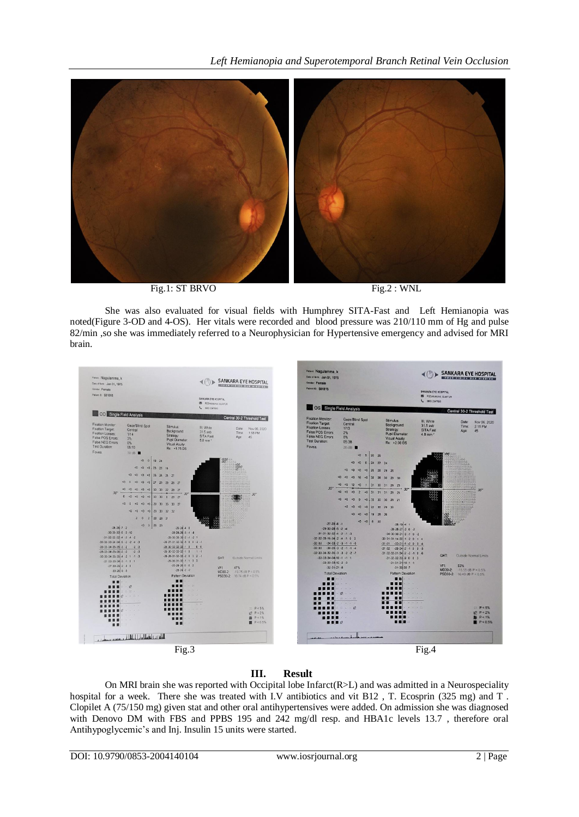

Fig.1: ST BRVO Fig.2 : WNL

She was also evaluated for visual fields with Humphrey SITA-Fast and Left Hemianopia was noted(Figure 3-OD and 4-OS). Her vitals were recorded and blood pressure was 210/110 mm of Hg and pulse 82/min ,so she was immediately referred to a Neurophysician for Hypertensive emergency and advised for MRI brain.



# **III. Result**

On MRI brain she was reported with Occipital lobe Infarct(R>L) and was admitted in a Neurospeciality hospital for a week. There she was treated with I.V antibiotics and vit B12, T. Ecosprin (325 mg) and T. Clopilet A (75/150 mg) given stat and other oral antihypertensives were added. On admission she was diagnosed with Denovo DM with FBS and PPBS 195 and 242 mg/dl resp. and HBA1c levels 13.7 , therefore oral Antihypoglycemic's and Inj. Insulin 15 units were started.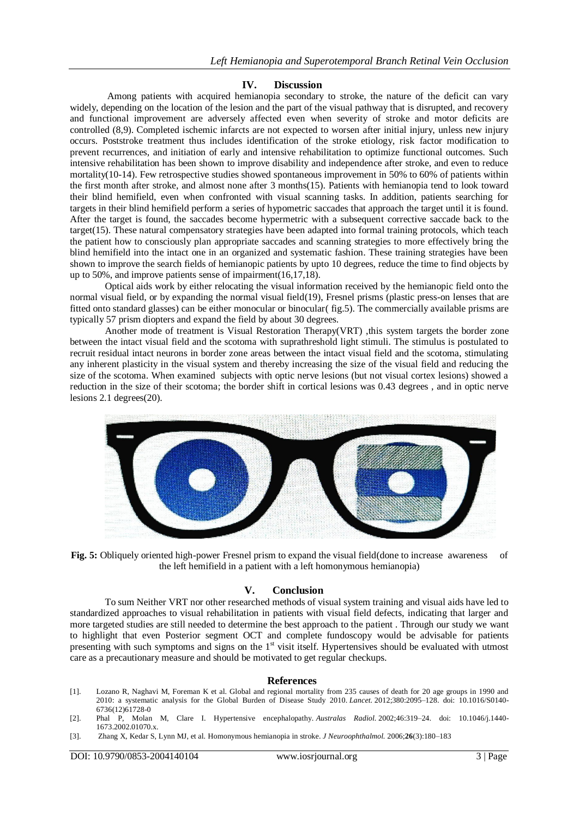### **IV. Discussion**

Among patients with acquired hemianopia secondary to stroke, the nature of the deficit can vary widely, depending on the location of the lesion and the part of the visual pathway that is disrupted, and recovery and functional improvement are adversely affected even when severity of stroke and motor deficits are controlled (8,9). Completed ischemic infarcts are not expected to worsen after initial injury, unless new injury occurs. Poststroke treatment thus includes identification of the stroke etiology, risk factor modification to prevent recurrences, and initiation of early and intensive rehabilitation to optimize functional outcomes. Such intensive rehabilitation has been shown to improve disability and independence after stroke, and even to reduce mortality(10-14). Few retrospective studies showed spontaneous improvement in 50% to 60% of patients within the first month after stroke, and almost none after 3 months(15). Patients with hemianopia tend to look toward their blind hemifield, even when confronted with visual scanning tasks. In addition, patients searching for targets in their blind hemifield perform a series of hypometric saccades that approach the target until it is found. After the target is found, the saccades become hypermetric with a subsequent corrective saccade back to the target(15). These natural compensatory strategies have been adapted into formal training protocols, which teach the patient how to consciously plan appropriate saccades and scanning strategies to more effectively bring the blind hemifield into the intact one in an organized and systematic fashion. These training strategies have been shown to improve the search fields of hemianopic patients by upto 10 degrees, reduce the time to find objects by up to 50%, and improve patients sense of impairment(16,17,18).

Optical aids work by either relocating the visual information received by the hemianopic field onto the normal visual field, or by expanding the normal visual field(19), Fresnel prisms (plastic press-on lenses that are fitted onto standard glasses) can be either monocular or binocular( fig.5). The commercially available prisms are typically 57 prism diopters and expand the field by about 30 degrees.

Another mode of treatment is Visual Restoration Therapy(VRT) ,this system targets the border zone between the intact visual field and the scotoma with suprathreshold light stimuli. The stimulus is postulated to recruit residual intact neurons in border zone areas between the intact visual field and the scotoma, stimulating any inherent plasticity in the visual system and thereby increasing the size of the visual field and reducing the size of the scotoma. When examined subjects with optic nerve lesions (but not visual cortex lesions) showed a reduction in the size of their scotoma; the border shift in cortical lesions was 0.43 degrees , and in optic nerve lesions 2.1 degrees(20).



**Fig. 5:** Obliquely oriented high-power Fresnel prism to expand the visual field(done to increase awareness of the left hemifield in a patient with a left homonymous hemianopia)

### **V. Conclusion**

To sum Neither VRT nor other researched methods of visual system training and visual aids have led to standardized approaches to visual rehabilitation in patients with visual field defects, indicating that larger and more targeted studies are still needed to determine the best approach to the patient . Through our study we want to highlight that even Posterior segment OCT and complete fundoscopy would be advisable for patients presenting with such symptoms and signs on the 1<sup>st</sup> visit itself. Hypertensives should be evaluated with utmost care as a precautionary measure and should be motivated to get regular checkups.

#### **References**

- [1]. Lozano R, Naghavi M, Foreman K et al. Global and regional mortality from 235 causes of death for 20 age groups in 1990 and 2010: a systematic analysis for the Global Burden of Disease Study 2010. *Lancet.* 2012;380:2095–128. doi: 10.1016/S0140- 6736(12)61728-0
- [2]. Phal P, Molan M, Clare I. Hypertensive encephalopathy. *Australas Radiol.* 2002;46:319–24. doi: 10.1046/j.1440- 1673.2002.01070.x.
- [3]. Zhang X, Kedar S, Lynn MJ, et al. Homonymous hemianopia in stroke. *J Neuroophthalmol.* 2006;**26**(3):180–183